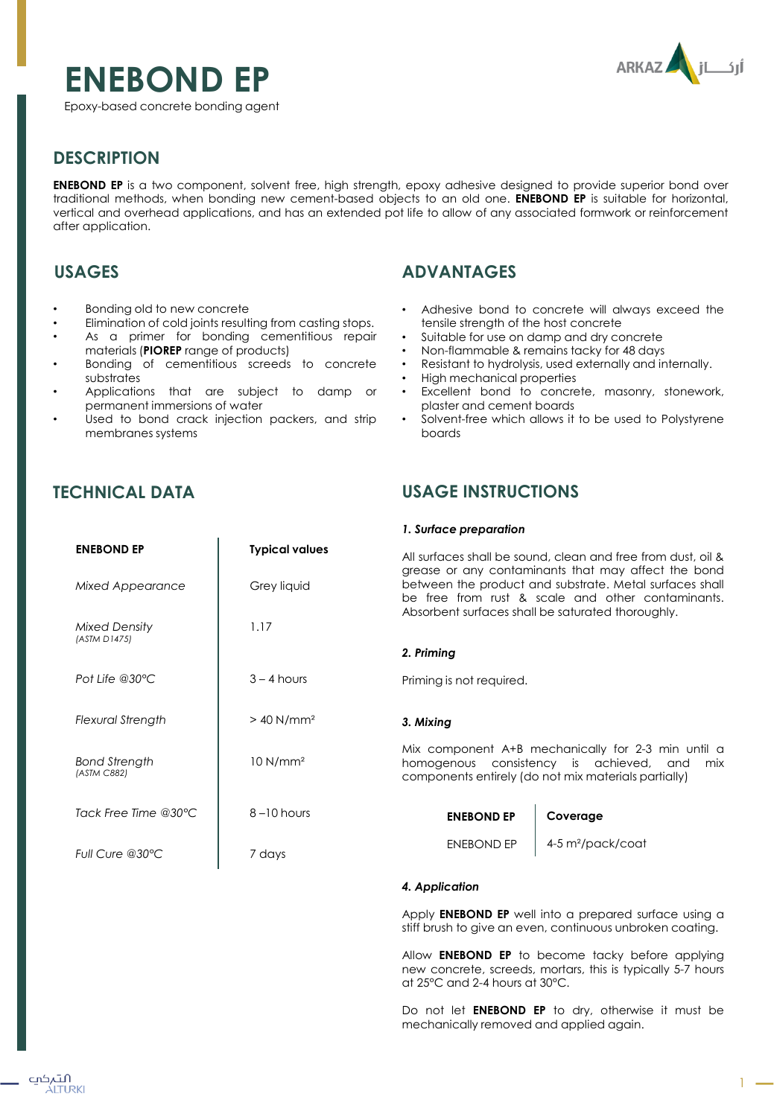# **ENEBOND EP**



Epoxy-based concrete bonding agent

# **DESCRIPTION**

**ENEBOND EP** is a two component, solvent free, high strength, epoxy adhesive designed to provide superior bond over traditional methods, when bonding new cement-based objects to an old one. **ENEBOND EP** is suitable for horizontal, vertical and overhead applications, and has an extended pot life to allow of any associated formwork or reinforcement after application.

## **USAGES**

- Bonding old to new concrete
- Elimination of cold joints resulting from casting stops.
- As a primer for bonding cementitious repair materials (**PIOREP** range of products)
- Bonding of cementitious screeds to concrete substrates
- Applications that are subject to damp or permanent immersions of water
- Used to bond crack injection packers, and strip membranes systems

**ENEBOND EP Typical values**

Grey liquid

 $3 - 4$  hours

 $> 40$  N/mm<sup>2</sup>

10 N/mm²

 $8 - 10$  hours

7 days

1.17

## **TECHNICAL DATA**

*Mixed Appearance*

*Mixed Density (ASTM D1475)*

*Pot Life @30°C*

*Flexural Strength*

*Bond Strength (ASTM C882)*

*Full Cure @30°C*

*Tack Free Time @30°C*

# **ADVANTAGES**

- Adhesive bond to concrete will always exceed the tensile strength of the host concrete
- Suitable for use on damp and dry concrete
- Non-flammable & remains tacky for 48 days
- Resistant to hydrolysis, used externally and internally.
- High mechanical properties
- Excellent bond to concrete, masonry, stonework, plaster and cement boards
- Solvent-free which allows it to be used to Polystyrene boards

## **USAGE INSTRUCTIONS**

#### *1. Surface preparation*

All surfaces shall be sound, clean and free from dust, oil & grease or any contaminants that may affect the bond between the product and substrate. Metal surfaces shall be free from rust & scale and other contaminants. Absorbent surfaces shall be saturated thoroughly.

## *2. Priming*

Priming is not required.

#### *3. Mixing*

Mix component A+B mechanically for 2-3 min until a homogenous consistency is achieved, and mix components entirely (do not mix materials partially)

**Coverage**

| <b>ENEBOND EP</b> |  |
|-------------------|--|
| <b>FNFROND FP</b> |  |

4-5 m²/pack/coat

### *4. Application*

Apply **ENEBOND EP** well into a prepared surface using a stiff brush to give an even, continuous unbroken coating.

Allow **ENEBOND EP** to become tacky before applying new concrete, screeds, mortars, this is typically 5-7 hours at 25°C and 2-4 hours at 30°C.

Do not let **ENEBOND EP** to dry, otherwise it must be mechanically removed and applied again.